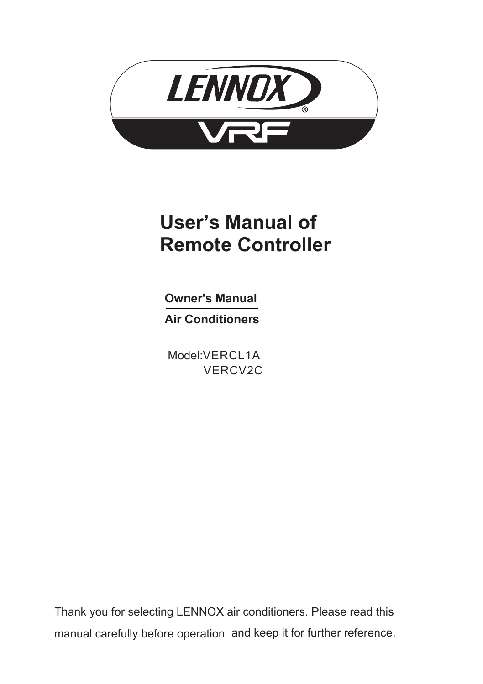

# **User's Manual of Remote Controller**

**Owner's Manual Air Conditioners** 

Model: VERCL1A VERCV2C

Thank you for selecting LENNOX air conditioners. Please read this manual carefully before operation and keep it for further reference.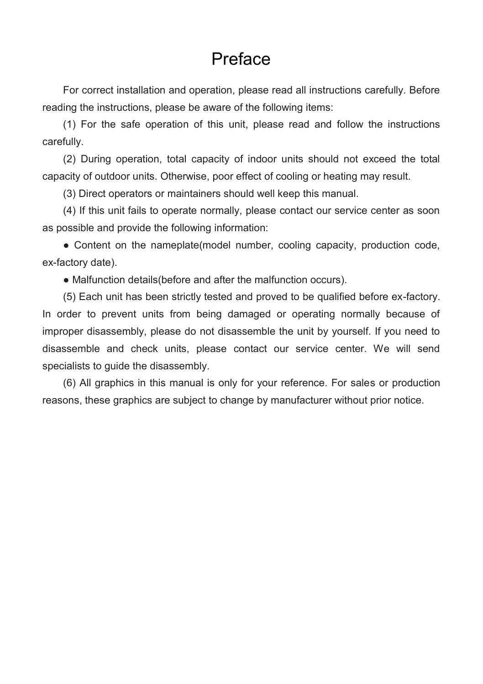### Preface

For correct installation and operation, please read all instructions carefully. Before reading the instructions, please be aware of the following items:

(1) For the safe operation of this unit, please read and follow the instructions carefully.

(2) During operation, total capacity of indoor units should not exceed the total capacity of outdoor units. Otherwise, poor effect of cooling or heating may result.

(3) Direct operators or maintainers should well keep this manual.

(4) If this unit fails to operate normally, please contact our service center as soon as possible and provide the following information:

• Content on the nameplate(model number, cooling capacity, production code, ex-factory date).

● Malfunction details(before and after the malfunction occurs).

(5) Each unit has been strictly tested and proved to be qualified before ex-factory. In order to prevent units from being damaged or operating normally because of improper disassembly, please do not disassemble the unit by yourself. If you need to disassemble and check units, please contact our service center. We will send specialists to guide the disassembly.

(6) All graphics in this manual is only for your reference. For sales or production reasons, these graphics are subject to change by manufacturer without prior notice.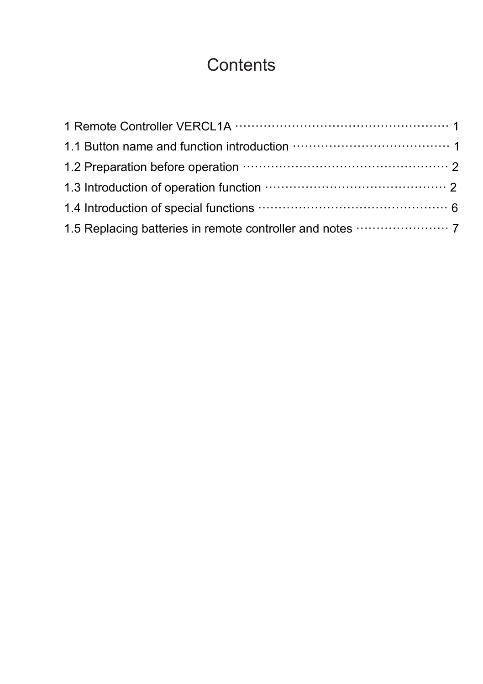# **Contents**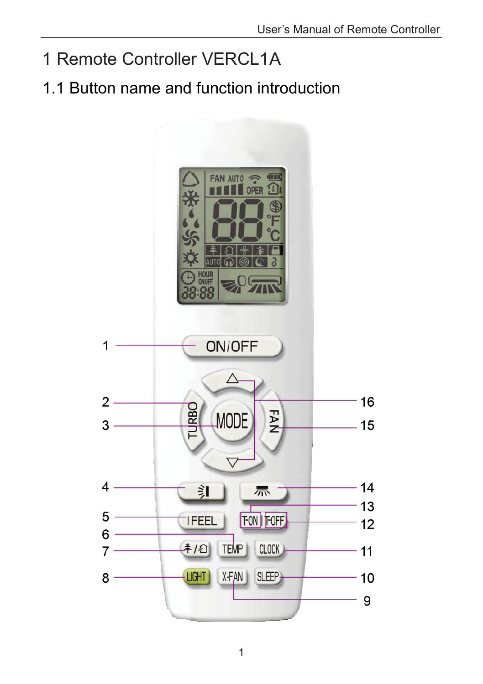- 1 Remote Controller VERCL1A
- <span id="page-4-0"></span>1.1 Button name and function introduction

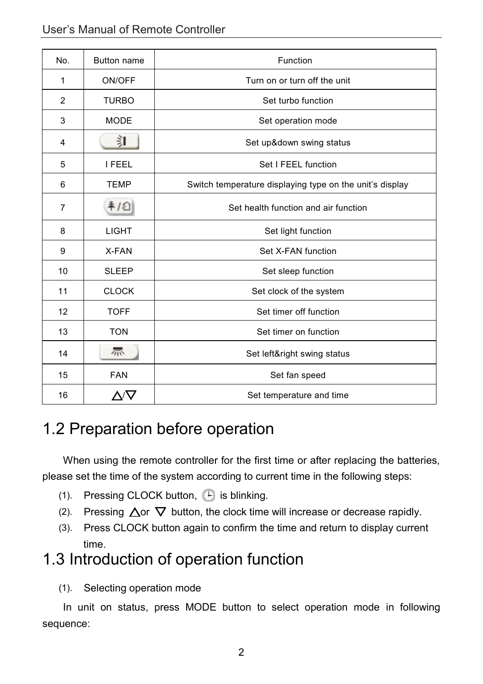| No.            | <b>Button name</b> | Function                                                 |
|----------------|--------------------|----------------------------------------------------------|
| 1              | ON/OFF             | Turn on or turn off the unit                             |
| 2              | <b>TURBO</b>       | Set turbo function                                       |
| 3              | <b>MODE</b>        | Set operation mode                                       |
| 4              | 訂                  | Set up&down swing status                                 |
| 5              | <b>I FEEL</b>      | Set I FEEL function                                      |
| 6              | <b>TEMP</b>        | Switch temperature displaying type on the unit's display |
| $\overline{7}$ | 후/의                | Set health function and air function                     |
| 8              | <b>LIGHT</b>       | Set light function                                       |
| 9              | X-FAN              | Set X-FAN function                                       |
| 10             | <b>SLEEP</b>       | Set sleep function                                       |
| 11             | <b>CLOCK</b>       | Set clock of the system                                  |
| 12             | <b>TOFF</b>        | Set timer off function                                   |
| 13             | <b>TON</b>         | Set timer on function                                    |
| 14             | 祘                  | Set left&right swing status                              |
| 15             | <b>FAN</b>         | Set fan speed                                            |
| 16             | Δ/Ω                | Set temperature and time                                 |

### <span id="page-5-0"></span>1.2 Preparation before operation

When using the remote controller for the first time or after replacing the batteries, please set the time of the system according to current time in the following steps:

- $(1)$ . Pressing CLOCK button,  $\bigoplus$  is blinking.
- (2). Pressing  $\Delta$  or  $\nabla$  button, the clock time will increase or decrease rapidly.
- (3). Press CLOCK button again to confirm the time and return to display current time.

### <span id="page-5-1"></span>1.3 Introduction of operation function

(1). Selecting operation mode

In unit on status, press MODE button to select operation mode in following sequence: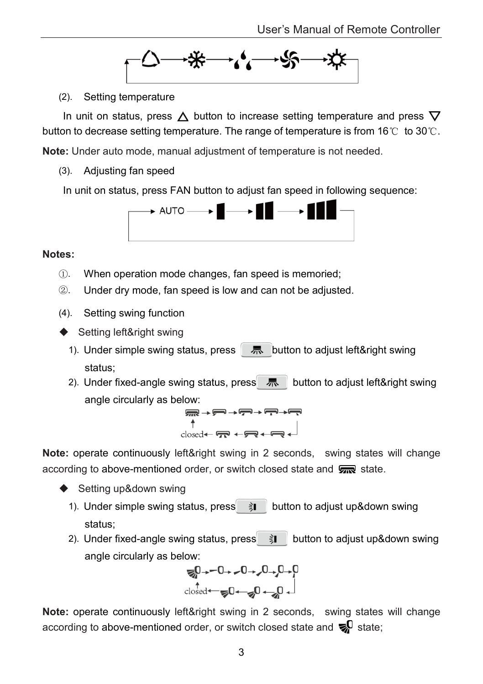

(2). Setting temperature

In unit on status, press  $\triangle$  button to increase setting temperature and press  $\nabla$ button to decrease setting temperature. The range of temperature is from 16℃ to 30℃.

**Note:** Under auto mode, manual adjustment of temperature is not needed.

(3). Adjusting fan speed

In unit on status, press FAN button to adjust fan speed in following sequence:



#### **Notes:**

- ①. When operation mode changes, fan speed is memoried;
- ②. Under dry mode, fan speed is low and can not be adjusted.
- (4). Setting swing function
- ◆ Setting left&right swing
	- 1). Under simple swing status, press  $\overline{R}$  button to adjust left&right swing status;
	- 2). Under fixed-angle swing status, press  $\overline{R}$  button to adjust left&right swing angle circularly as below:

$$
\begin{array}{c}\n\uparrow \\
\uparrow \\
\uparrow \\
\uparrow \\
\downarrow \\
\hline\n\end{array}
$$

**Note:** operate continuously left&right swing in 2 seconds, swing states will change according to above-mentioned order, or switch closed state and  $\sqrt{m}$  state.

- ◆ Setting up&down swing
	- 1). Under simple swing status, press  $\hat{\theta}$  button to adjust up&down swing status;
	- 2). Under fixed-angle swing status, press  $\hat{\imath}$  button to adjust up&down swing angle circularly as below:



**Note:** operate continuously left&right swing in 2 seconds, swing states will change according to above-mentioned order, or switch closed state and  $\mathbf{E}^0$  state: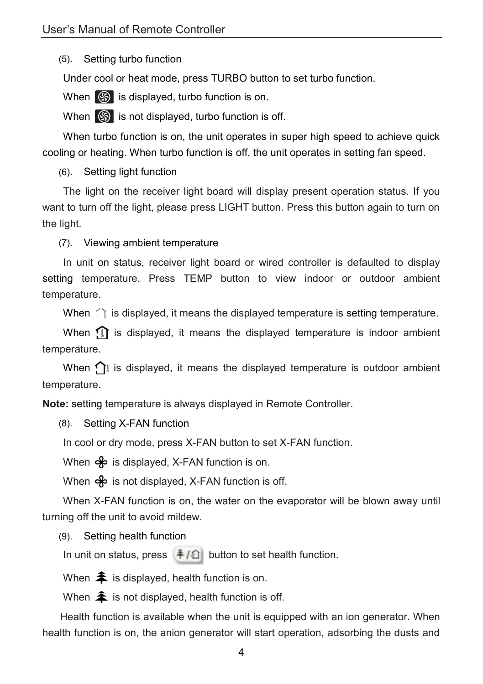(5). Setting turbo function

Under cool or heat mode, press TURBO button to set turbo function.

When  $\circledS$  is displayed, turbo function is on.

When  $\circled{S}$  is not displayed, turbo function is off.

When turbo function is on, the unit operates in super high speed to achieve quick cooling or heating. When turbo function is off, the unit operates in setting fan speed.

(6). Setting light function

The light on the receiver light board will display present operation status. If you want to turn off the light, please press LIGHT button. Press this button again to turn on the light.

(7). Viewing ambient temperature

In unit on status, receiver light board or wired controller is defaulted to display setting temperature. Press TEMP button to view indoor or outdoor ambient temperature.

When  $\hat{\mathbb{I}}$  is displayed, it means the displayed temperature is setting temperature.

When  $\Omega$  is displayed, it means the displayed temperature is indoor ambient temperature.

When  $\bigcap$  is displayed, it means the displayed temperature is outdoor ambient temperature.

**Note:** setting temperature is always displayed in Remote Controller.

(8). Setting X-FAN function

In cool or dry mode, press X-FAN button to set X-FAN function.

When  $\clubsuit$  is displayed, X-FAN function is on.

When  $\clubsuit$  is not displayed, X-FAN function is off.

When X-FAN function is on, the water on the evaporator will be blown away until turning off the unit to avoid mildew.

(9). Setting health function

In unit on status, press  $\frac{1}{2}$  button to set health function.

When  $\triangleq$  is displayed, health function is on.

When  $\triangleq$  is not displayed, health function is off.

Health function is available when the unit is equipped with an ion generator. When health function is on, the anion generator will start operation, adsorbing the dusts and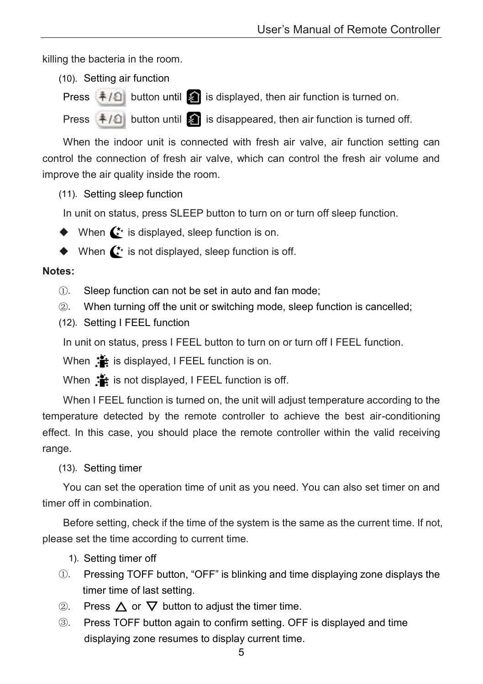killing the bacteria in the room.

- (10). Setting air function
- Press  $\frac{1}{2}$  button until **is** is displayed, then air function is turned on.

Press  $\frac{1}{2}$  button until  $\frac{1}{2}$  is disappeared, then air function is turned off.

When the indoor unit is connected with fresh air valve, air function setting can control the connection of fresh air valve, which can control the fresh air volume and improve the air quality inside the room.

(11). Setting sleep function

In unit on status, press SLEEP button to turn on or turn off sleep function.

- $\blacklozenge$  When  $\mathbf{C}^*$  is displayed, sleep function is on.
- $\blacklozenge$  When  $\mathbf{C}^*$  is not displayed, sleep function is off.

#### **Notes:**

- ①. Sleep function can not be set in auto and fan mode;
- ②. When turning off the unit or switching mode, sleep function is cancelled;
- (12). Setting I FEEL function

In unit on status, press I FEEL button to turn on or turn off I FEEL function.

When  $\mathbf{I}$  is displayed, I FEEL function is on.

When  $\ddot{\mathbf{f}}$  is not displayed, I FEEL function is off.

When I FEEL function is turned on, the unit will adjust temperature according to the temperature detected by the remote controller to achieve the best air-conditioning effect. In this case, you should place the remote controller within the valid receiving range.

#### (13). Setting timer

You can set the operation time of unit as you need. You can also set timer on and timer off in combination.

Before setting, check if the time of the system is the same as the current time. If not, please set the time according to current time.

- 1). Setting timer off
- ①. Pressing TOFF button, "OFF" is blinking and time displaying zone displays the timer time of last setting.
- 2. Press  $\triangle$  or  $\nabla$  button to adjust the timer time.
- ③. Press TOFF button again to confirm setting. OFF is displayed and time displaying zone resumes to display current time.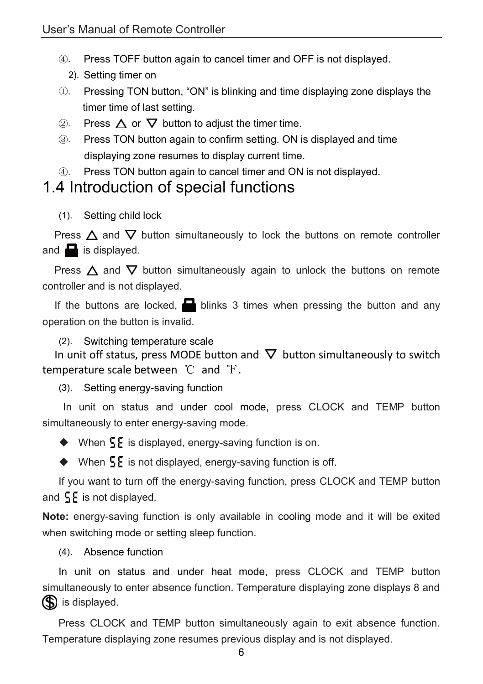- ④. Press TOFF button again to cancel timer and OFF is not displayed.
	- 2). Setting timer on
- ①. Pressing TON button, "ON" is blinking and time displaying zone displays the timer time of last setting.
- $\circled{2}$ . Press  $\Lambda$  or  $\nabla$  button to adjust the timer time.
- ③. Press TON button again to confirm setting. ON is displayed and time displaying zone resumes to display current time.
- ④. Press TON button again to cancel timer and ON is not displayed.

### <span id="page-9-0"></span>1.4 Introduction of special functions

(1). Setting child lock

Press  $\Delta$  and  $\nabla$  button simultaneously to lock the buttons on remote controller and  $\blacksquare$  is displayed.

Press  $\triangle$  and  $\nabla$  button simultaneously again to unlock the buttons on remote controller and is not displayed.

If the buttons are locked,  $\Box$  blinks 3 times when pressing the button and any operation on the button is invalid.

(2). Switching temperature scale

In unit off status, press MODE button and  $\nabla$  button simultaneously to switch temperature scale between ℃ and F.

(3). Setting energy-saving function

In unit on status and under cool mode, press CLOCK and TEMP button simultaneously to enter energy-saving mode.

 $\blacklozenge$  When  $\frac{1}{2}$  is displayed, energy-saving function is on.

 $\blacklozenge$  When  $\frac{1}{2}$  is not displayed, energy-saving function is off.

If you want to turn off the energy-saving function, press CLOCK and TEMP button and  $5E$  is not displayed.

**Note:** energy-saving function is only available in cooling mode and it will be exited when switching mode or setting sleep function.

(4). Absence function

In unit on status and under heat mode, press CLOCK and TEMP button simultaneously to enter absence function. Temperature displaying zone displays 8 and So is displayed.

Press CLOCK and TEMP button simultaneously again to exit absence function. Temperature displaying zone resumes previous display and is not displayed.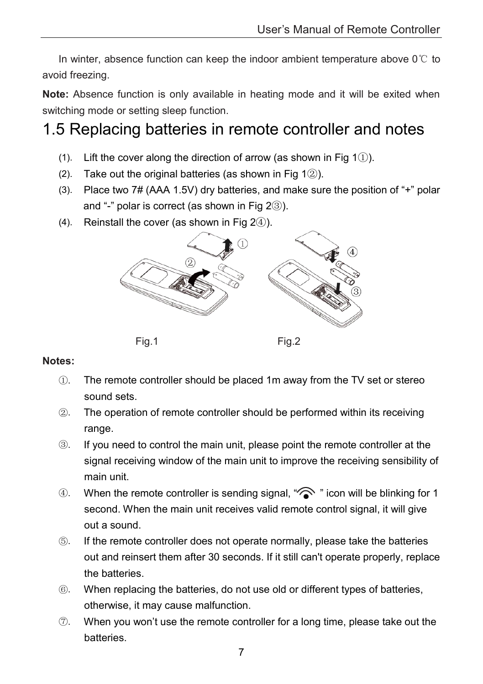In winter, absence function can keep the indoor ambient temperature above 0℃ to avoid freezing.

**Note:** Absence function is only available in heating mode and it will be exited when switching mode or setting sleep function.

## <span id="page-10-0"></span>1.5 Replacing batteries in remote controller and notes

- (1). Lift the cover along the direction of arrow (as shown in Fig 1 $(i)$ ).
- (2). Take out the original batteries (as shown in Fig  $1(2)$ ).
- (3). Place two 7# (AAA 1.5V) dry batteries, and make sure the position of "+" polar and "-" polar is correct (as shown in Fig  $2(3)$ ).
- (4). Reinstall the cover (as shown in Fig  $2(4)$ ).



#### **Notes:**

- ①. The remote controller should be placed 1m away from the TV set or stereo sound sets.
- ②. The operation of remote controller should be performed within its receiving range.
- ③. If you need to control the main unit, please point the remote controller at the signal receiving window of the main unit to improve the receiving sensibility of main unit.
- 4). When the remote controller is sending signal, " icon will be blinking for 1 second. When the main unit receives valid remote control signal, it will give out a sound.
- ⑤. If the remote controller does not operate normally, please take the batteries out and reinsert them after 30 seconds. If it still can't operate properly, replace the batteries.
- ⑥. When replacing the batteries, do not use old or different types of batteries, otherwise, it may cause malfunction.
- ⑦. When you won't use the remote controller for a long time, please take out the batteries.